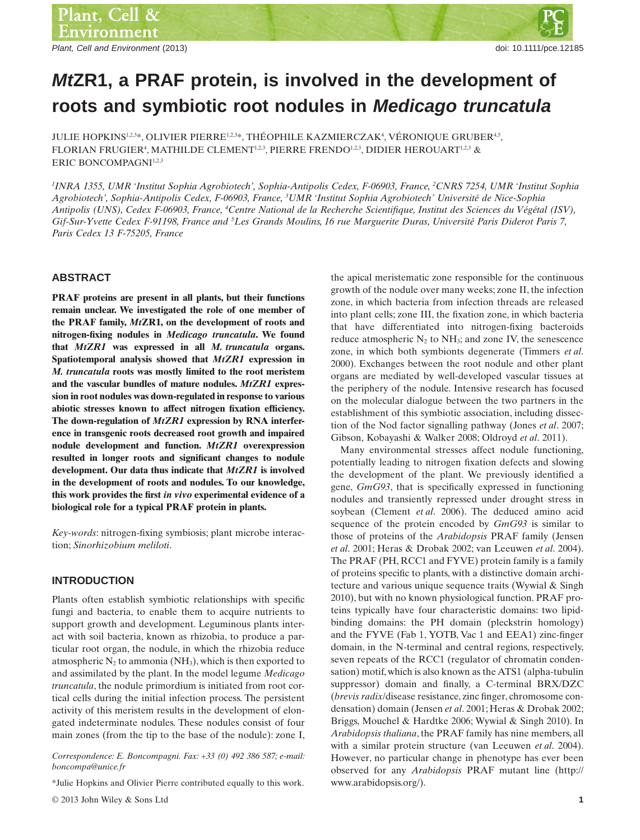Plant, Cell and Environment (2013) **Plant, Cell and Environment** (2013)

# *Mt***ZR1, a PRAF protein, is involved in the development of roots and symbiotic root nodules in** *Medicago truncatula*

JULIE HOPKINS $^{12.3*}$ , OLIVIER PIERRE $^{12.3*}$ , THÉOPHILE KAZMIERCZAK $^4$ , VÉRONIQUE GRUBER $^{4.5},$ FLORIAN FRUGIER<sup>4</sup>, MATHILDE CLEMENT<sup>1,2,3</sup>, PIERRE FRENDO<sup>1,2,3</sup>, DIDIER HEROUART<sup>1,2,3</sup> & ERIC BONCOMPAGNI<sup>1,2,3</sup>

*1 INRA 1355, UMR 'Institut Sophia Agrobiotech', Sophia-Antipolis Cedex, F-06903, France, <sup>2</sup> CNRS 7254, UMR 'Institut Sophia Agrobiotech', Sophia-Antipolis Cedex, F-06903, France, <sup>3</sup> UMR 'Institut Sophia Agrobiotech' Université de Nice-Sophia Antipolis (UNS), Cedex F-06903, France, <sup>4</sup> Centre National de la Recherche Scientifique, Institut des Sciences du Végétal (ISV), Gif-Sur-Yvette Cedex F-91198, France and <sup>5</sup> Les Grands Moulins, 16 rue Marguerite Duras, Université Paris Diderot Paris 7, Paris Cedex 13 F-75205, France*

#### **ABSTRACT**

**PRAF proteins are present in all plants, but their functions remain unclear. We investigated the role of one member of the PRAF family,** *Mt***ZR1, on the development of roots and nitrogen-fixing nodules in** *Medicago truncatula***. We found that** *MtZR1* **was expressed in all** *M. truncatula* **organs. Spatiotemporal analysis showed that** *MtZR1* **expression in** *M. truncatula* **roots was mostly limited to the root meristem and the vascular bundles of mature nodules.** *MtZR1* **expression in root nodules was down-regulated in response to various abiotic stresses known to affect nitrogen fixation efficiency. The down-regulation of** *MtZR1* **expression by RNA interference in transgenic roots decreased root growth and impaired nodule development and function.** *MtZR1* **overexpression resulted in longer roots and significant changes to nodule development. Our data thus indicate that** *MtZR1* **is involved in the development of roots and nodules. To our knowledge, this work provides the first** *in vivo* **experimental evidence of a biological role for a typical PRAF protein in plants.**

*Key-words*: nitrogen-fixing symbiosis; plant microbe interaction; *Sinorhizobium meliloti*.

## **INTRODUCTION**

Plants often establish symbiotic relationships with specific fungi and bacteria, to enable them to acquire nutrients to support growth and development. Leguminous plants interact with soil bacteria, known as rhizobia, to produce a particular root organ, the nodule, in which the rhizobia reduce atmospheric  $N_2$  to ammonia (NH<sub>3</sub>), which is then exported to and assimilated by the plant. In the model legume *Medicago truncatula*, the nodule primordium is initiated from root cortical cells during the initial infection process. The persistent activity of this meristem results in the development of elongated indeterminate nodules. These nodules consist of four main zones (from the tip to the base of the nodule): zone I,

*Correspondence: E. Boncompagni. Fax: +33 (0) 492 386 587; e-mail: boncompa@unice.fr*

\*Julie Hopkins and Olivier Pierre contributed equally to this work.

© 2013 John Wiley & Sons Ltd **1**

the apical meristematic zone responsible for the continuous growth of the nodule over many weeks; zone II, the infection zone, in which bacteria from infection threads are released into plant cells; zone III, the fixation zone, in which bacteria that have differentiated into nitrogen-fixing bacteroids reduce atmospheric  $N_2$  to  $NH_3$ ; and zone IV, the senescence zone, in which both symbionts degenerate (Timmers *et al*. 2000). Exchanges between the root nodule and other plant organs are mediated by well-developed vascular tissues at the periphery of the nodule. Intensive research has focused on the molecular dialogue between the two partners in the establishment of this symbiotic association, including dissection of the Nod factor signalling pathway (Jones *et al*. 2007; Gibson, Kobayashi & Walker 2008; Oldroyd *et al*. 2011).

Many environmental stresses affect nodule functioning, potentially leading to nitrogen fixation defects and slowing the development of the plant. We previously identified a gene, *GmG93*, that is specifically expressed in functioning nodules and transiently repressed under drought stress in soybean (Clement *et al*. 2006). The deduced amino acid sequence of the protein encoded by *GmG93* is similar to those of proteins of the *Arabidopsis* PRAF family (Jensen *et al*. 2001; Heras & Drobak 2002; van Leeuwen *et al*. 2004). The PRAF (PH, RCC1 and FYVE) protein family is a family of proteins specific to plants, with a distinctive domain architecture and various unique sequence traits (Wywial & Singh 2010), but with no known physiological function. PRAF proteins typically have four characteristic domains: two lipidbinding domains: the PH domain (pleckstrin homology) and the FYVE (Fab 1, YOTB, Vac 1 and EEA1) zinc-finger domain, in the N-terminal and central regions, respectively, seven repeats of the RCC1 (regulator of chromatin condensation) motif, which is also known as the ATS1 (alpha-tubulin suppressor) domain and finally, a C-terminal BRX/DZC (*brevis radix*/disease resistance, zinc finger, chromosome condensation) domain (Jensen *et al*. 2001; Heras & Drobak 2002; Briggs, Mouchel & Hardtke 2006; Wywial & Singh 2010). In *Arabidopsis thaliana*, the PRAF family has nine members, all with a similar protein structure (van Leeuwen *et al*. 2004). However, no particular change in phenotype has ever been observed for any *Arabidopsis* PRAF mutant line (http:// www.arabidopsis.org/).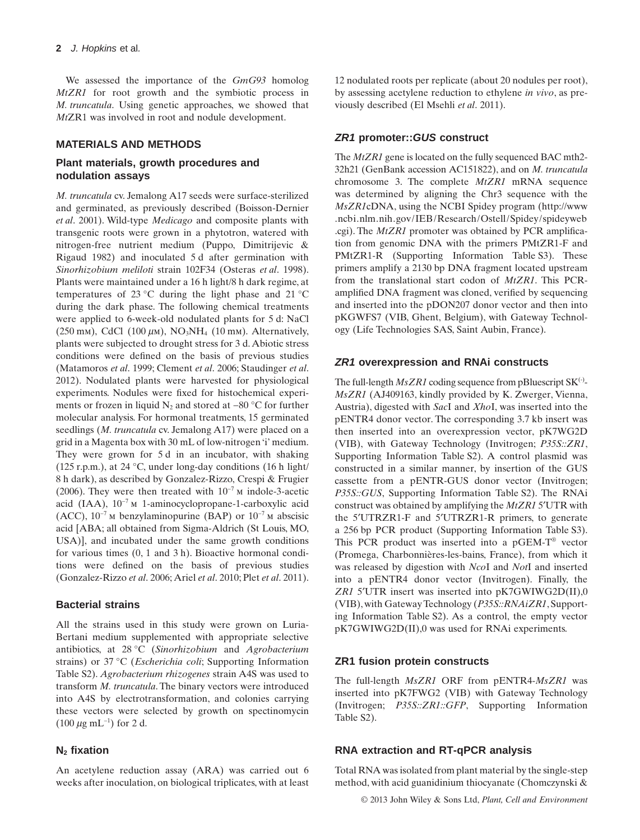We assessed the importance of the *GmG93* homolog *MtZR1* for root growth and the symbiotic process in *M. truncatula*. Using genetic approaches, we showed that *Mt*ZR1 was involved in root and nodule development.

## **MATERIALS AND METHODS**

## **Plant materials, growth procedures and nodulation assays**

*M. truncatula* cv. Jemalong A17 seeds were surface-sterilized and germinated, as previously described (Boisson-Dernier *et al*. 2001). Wild-type *Medicago* and composite plants with transgenic roots were grown in a phytotron, watered with nitrogen-free nutrient medium (Puppo, Dimitrijevic & Rigaud 1982) and inoculated 5 d after germination with *Sinorhizobium meliloti* strain 102F34 (Osteras *et al*. 1998). Plants were maintained under a 16 h light/8 h dark regime, at temperatures of 23 °C during the light phase and 21 °C during the dark phase. The following chemical treatments were applied to 6-week-old nodulated plants for 5 d: NaCl  $(250 \text{ mm})$ , CdCl  $(100 \mu\text{m})$ , NO<sub>3</sub>NH<sub>4</sub>  $(10 \text{ mm})$ . Alternatively, plants were subjected to drought stress for 3 d. Abiotic stress conditions were defined on the basis of previous studies (Matamoros *et al*. 1999; Clement *et al*. 2006; Staudinger *et al*. 2012). Nodulated plants were harvested for physiological experiments. Nodules were fixed for histochemical experiments or frozen in liquid  $N_2$  and stored at −80 °C for further molecular analysis. For hormonal treatments, 15 germinated seedlings (*M. truncatula* cv. Jemalong A17) were placed on a grid in a Magenta box with 30 mL of low-nitrogen 'i' medium. They were grown for 5 d in an incubator, with shaking (125 r.p.m.), at 24 °C, under long-day conditions (16 h light/ 8 h dark), as described by Gonzalez-Rizzo, Crespi & Frugier (2006). They were then treated with 10−7 m indole-3-acetic acid (IAA), 10−7 m 1-aminocyclopropane-1-carboxylic acid (ACC),  $10^{-7}$  M benzylaminopurine (BAP) or  $10^{-7}$  M abscisic acid [ABA; all obtained from Sigma-Aldrich (St Louis, MO, USA)], and incubated under the same growth conditions for various times (0, 1 and 3 h). Bioactive hormonal conditions were defined on the basis of previous studies (Gonzalez-Rizzo *et al*. 2006; Ariel *et al*. 2010; Plet *et al*. 2011).

## **Bacterial strains**

All the strains used in this study were grown on Luria-Bertani medium supplemented with appropriate selective antibiotics, at 28 °C (*Sinorhizobium* and *Agrobacterium* strains) or 37 °C (*Escherichia coli*; Supporting Information Table S2). *Agrobacterium rhizogenes* strain A4S was used to transform *M. truncatula*. The binary vectors were introduced into A4S by electrotransformation, and colonies carrying these vectors were selected by growth on spectinomycin  $(100 \ \mu g \ mL^{-1})$  for 2 d.

## **N2 fixation**

An acetylene reduction assay (ARA) was carried out 6 weeks after inoculation, on biological triplicates, with at least 12 nodulated roots per replicate (about 20 nodules per root), by assessing acetylene reduction to ethylene *in vivo*, as previously described (El Msehli *et al*. 2011).

# *ZR1* **promoter::***GUS* **construct**

The *MtZR1* gene is located on the fully sequenced BAC mth2- 32h21 (GenBank accession AC151822), and on *M. truncatula* chromosome 3. The complete *MtZR1* mRNA sequence was determined by aligning the Chr3 sequence with the *MsZR1*cDNA, using the NCBI Spidey program (http://www .ncbi.nlm.nih.gov/IEB/Research/Ostell/Spidey/spideyweb .cgi). The *MtZR1* promoter was obtained by PCR amplification from genomic DNA with the primers PMtZR1-F and PMtZR1-R (Supporting Information Table S3). These primers amplify a 2130 bp DNA fragment located upstream from the translational start codon of *MtZR1*. This PCRamplified DNA fragment was cloned, verified by sequencing and inserted into the pDON207 donor vector and then into pKGWFS7 (VIB, Ghent, Belgium), with Gateway Technology (Life Technologies SAS, Saint Aubin, France).

## *ZR1* **overexpression and RNAi constructs**

The full-length  $MsZR1$  coding sequence from pBluescript  $SK^{(-)}$ -*MsZR1* (AJ409163, kindly provided by K. Zwerger, Vienna, Austria), digested with *Sac*I and *Xho*I, was inserted into the pENTR4 donor vector. The corresponding 3.7 kb insert was then inserted into an overexpression vector, pK7WG2D (VIB), with Gateway Technology (Invitrogen; *P35S::ZR1*, Supporting Information Table S2). A control plasmid was constructed in a similar manner, by insertion of the GUS cassette from a pENTR-GUS donor vector (Invitrogen; *P35S::GUS*, Supporting Information Table S2). The RNAi construct was obtained by amplifying the *MtZR1* 5′UTR with the 5′UTRZR1-F and 5′UTRZR1-R primers, to generate a 256 bp PCR product (Supporting Information Table S3). This PCR product was inserted into a pGEM-T® vector (Promega, Charbonnières-les-bains, France), from which it was released by digestion with *Nco*I and *Not*I and inserted into a pENTR4 donor vector (Invitrogen). Finally, the *ZR1* 5′UTR insert was inserted into pK7GWIWG2D(II),0 (VIB), with Gateway Technology (*P35S::RNAiZR1*, Supporting Information Table S2). As a control, the empty vector pK7GWIWG2D(II),0 was used for RNAi experiments.

## **ZR1 fusion protein constructs**

The full-length *MsZR1* ORF from pENTR4-*MsZR1* was inserted into pK7FWG2 (VIB) with Gateway Technology (Invitrogen; *P35S::ZR1::GFP*, Supporting Information Table S2).

## **RNA extraction and RT-qPCR analysis**

Total RNA was isolated from plant material by the single-step method, with acid guanidinium thiocyanate (Chomczynski &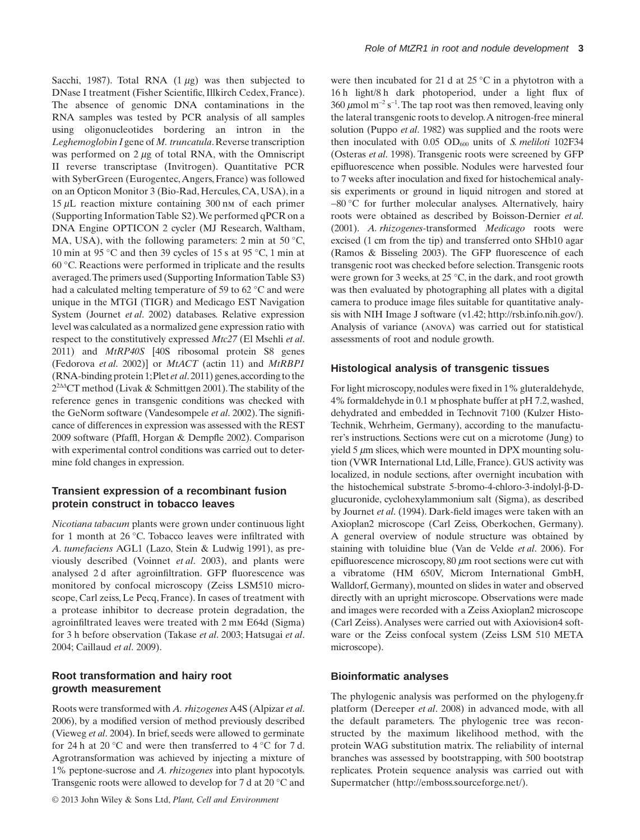Sacchi, 1987). Total RNA  $(1 \mu g)$  was then subjected to DNase I treatment (Fisher Scientific, Illkirch Cedex, France). The absence of genomic DNA contaminations in the RNA samples was tested by PCR analysis of all samples using oligonucleotides bordering an intron in the *Leghemoglobin I* gene of *M. truncatula*.Reverse transcription was performed on 2  $\mu$ g of total RNA, with the Omniscript II reverse transcriptase (Invitrogen). Quantitative PCR with SyberGreen (Eurogentec, Angers, France) was followed on an Opticon Monitor 3 (Bio-Rad, Hercules, CA, USA), in a 15  $\mu$ L reaction mixture containing 300 nm of each primer (Supporting InformationTable S2).We performed qPCR on a DNA Engine OPTICON 2 cycler (MJ Research, Waltham, MA, USA), with the following parameters: 2 min at 50  $^{\circ}$ C, 10 min at 95 °C and then 39 cycles of 15 s at 95 °C, 1 min at 60 °C. Reactions were performed in triplicate and the results averaged.The primers used (Supporting InformationTable S3) had a calculated melting temperature of 59 to 62 °C and were unique in the MTGI (TIGR) and Medicago EST Navigation System (Journet *et al*. 2002) databases. Relative expression level was calculated as a normalized gene expression ratio with respect to the constitutively expressed *Mtc27* (El Msehli *et al*. 2011) and *MtRP40S* [40S ribosomal protein S8 genes (Fedorova *et al*. 2002)] or *MtACT* (actin 11) and *MtRBP1* (RNA-binding protein 1;Plet *et al*. 2011) genes,according to the  $2^{2\Delta\Delta}$ CT method (Livak & Schmittgen 2001). The stability of the reference genes in transgenic conditions was checked with the GeNorm software (Vandesompele *et al*. 2002). The significance of differences in expression was assessed with the REST 2009 software (Pfaffl, Horgan & Dempfle 2002). Comparison with experimental control conditions was carried out to determine fold changes in expression.

## **Transient expression of a recombinant fusion protein construct in tobacco leaves**

*Nicotiana tabacum* plants were grown under continuous light for 1 month at 26 °C. Tobacco leaves were infiltrated with *A. tumefaciens* AGL1 (Lazo, Stein & Ludwig 1991), as previously described (Voinnet *et al*. 2003), and plants were analysed 2 d after agroinfiltration. GFP fluorescence was monitored by confocal microscopy (Zeiss LSM510 microscope, Carl zeiss, Le Pecq, France). In cases of treatment with a protease inhibitor to decrease protein degradation, the agroinfiltrated leaves were treated with 2 mm E64d (Sigma) for 3 h before observation (Takase *et al*. 2003; Hatsugai *et al*. 2004; Caillaud *et al*. 2009).

# **Root transformation and hairy root growth measurement**

Roots were transformed with *A. rhizogenes*A4S (Alpizar *et al*. 2006), by a modified version of method previously described (Vieweg *et al*. 2004). In brief, seeds were allowed to germinate for 24 h at 20 °C and were then transferred to 4 °C for 7 d. Agrotransformation was achieved by injecting a mixture of 1% peptone-sucrose and *A. rhizogenes* into plant hypocotyls. Transgenic roots were allowed to develop for 7 d at 20 °C and

were then incubated for 21 d at 25 °C in a phytotron with a 16 h light/8 h dark photoperiod, under a light flux of 360 µmol m<sup>-2</sup> s<sup>-1</sup>. The tap root was then removed, leaving only the lateral transgenic roots to develop.A nitrogen-free mineral solution (Puppo *et al*. 1982) was supplied and the roots were then inoculated with 0.05 OD<sub>600</sub> units of *S. meliloti* 102F34 (Osteras *et al*. 1998). Transgenic roots were screened by GFP epifluorescence when possible. Nodules were harvested four to 7 weeks after inoculation and fixed for histochemical analysis experiments or ground in liquid nitrogen and stored at −80 °C for further molecular analyses. Alternatively, hairy roots were obtained as described by Boisson-Dernier *et al*. (2001). *A. rhizogenes-*transformed *Medicago* roots were excised (1 cm from the tip) and transferred onto SHb10 agar (Ramos & Bisseling 2003). The GFP fluorescence of each transgenic root was checked before selection.Transgenic roots were grown for 3 weeks, at 25 °C, in the dark, and root growth was then evaluated by photographing all plates with a digital camera to produce image files suitable for quantitative analysis with NIH Image J software (v1.42; http://rsb.info.nih.gov/). Analysis of variance (anova) was carried out for statistical assessments of root and nodule growth.

## **Histological analysis of transgenic tissues**

For light microscopy, nodules were fixed in 1% gluteraldehyde, 4% formaldehyde in 0.1 m phosphate buffer at pH 7.2, washed, dehydrated and embedded in Technovit 7100 (Kulzer Histo-Technik, Wehrheim, Germany), according to the manufacturer's instructions. Sections were cut on a microtome (Jung) to yield  $5 \mu$ m slices, which were mounted in DPX mounting solution (VWR International Ltd, Lille, France). GUS activity was localized, in nodule sections, after overnight incubation with the histochemical substrate 5-bromo-4-chloro-3-indolyl-β-Dglucuronide, cyclohexylammonium salt (Sigma), as described by Journet *et al*. (1994). Dark-field images were taken with an Axioplan2 microscope (Carl Zeiss, Oberkochen, Germany). A general overview of nodule structure was obtained by staining with toluidine blue (Van de Velde *et al*. 2006). For epifluorescence microscopy, 80  $\mu$ m root sections were cut with a vibratome (HM 650V, Microm International GmbH, Walldorf, Germany), mounted on slides in water and observed directly with an upright microscope. Observations were made and images were recorded with a Zeiss Axioplan2 microscope (Carl Zeiss). Analyses were carried out with Axiovision4 software or the Zeiss confocal system (Zeiss LSM 510 META microscope).

## **Bioinformatic analyses**

The phylogenic analysis was performed on the phylogeny.fr platform (Dereeper *et al*. 2008) in advanced mode, with all the default parameters. The phylogenic tree was reconstructed by the maximum likelihood method, with the protein WAG substitution matrix. The reliability of internal branches was assessed by bootstrapping, with 500 bootstrap replicates. Protein sequence analysis was carried out with Supermatcher (http://emboss.sourceforge.net/).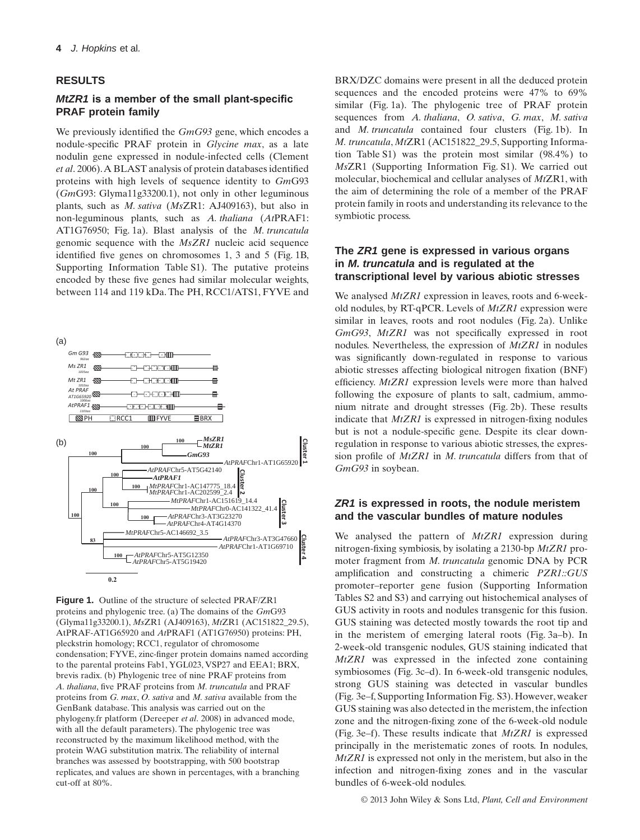## **RESULTS**

## *MtZR1* **is a member of the small plant-specific PRAF protein family**

We previously identified the *GmG93* gene, which encodes a nodule-specific PRAF protein in *Glycine max*, as a late nodulin gene expressed in nodule-infected cells (Clement *et al*. 2006).A BLAST analysis of protein databases identified proteins with high levels of sequence identity to *Gm*G93 (*Gm*G93: Glyma11g33200.1), not only in other leguminous plants, such as *M. sativa* (*Ms*ZR1: AJ409163), but also in non-leguminous plants, such as *A. thaliana* (*At*PRAF1: AT1G76950; Fig. 1a). Blast analysis of the *M. truncatula* genomic sequence with the *MsZR1* nucleic acid sequence identified five genes on chromosomes 1, 3 and 5 (Fig. 1B, Supporting Information Table S1). The putative proteins encoded by these five genes had similar molecular weights, between 114 and 119 kDa. The PH, RCC1/ATS1, FYVE and



**Figure 1.** Outline of the structure of selected PRAF/ZR1 proteins and phylogenic tree. (a) The domains of the *Gm*G93 (Glyma11g33200.1), *Ms*ZR1 (AJ409163), *Mt*ZR1 (AC151822\_29.5), AtPRAF-AT1G65920 and *At*PRAF1 (AT1G76950) proteins: PH, pleckstrin homology; RCC1, regulator of chromosome condensation; FYVE, zinc-finger protein domains named according to the parental proteins Fab1, YGL023, VSP27 and EEA1; BRX, brevis radix. (b) Phylogenic tree of nine PRAF proteins from *A. thaliana*, five PRAF proteins from *M. truncatula* and PRAF proteins from *G. max*, *O. sativa* and *M. sativa* available from the GenBank database. This analysis was carried out on the phylogeny.fr platform (Dereeper *et al*. 2008) in advanced mode, with all the default parameters). The phylogenic tree was reconstructed by the maximum likelihood method, with the protein WAG substitution matrix. The reliability of internal branches was assessed by bootstrapping, with 500 bootstrap replicates, and values are shown in percentages, with a branching cut-off at 80%.

BRX/DZC domains were present in all the deduced protein sequences and the encoded proteins were 47% to 69% similar (Fig. 1a). The phylogenic tree of PRAF protein sequences from *A. thaliana*, *O. sativa*, *G. max*, *M. sativa* and *M. truncatula* contained four clusters (Fig. 1b). In *M. truncatula*, *Mt*ZR1 (AC151822\_29.5, Supporting Information Table S1) was the protein most similar (98.4%) to *Ms*ZR1 (Supporting Information Fig. S1). We carried out molecular, biochemical and cellular analyses of *Mt*ZR1, with the aim of determining the role of a member of the PRAF protein family in roots and understanding its relevance to the symbiotic process.

## **The** *ZR1* **gene is expressed in various organs in** *M. truncatula* **and is regulated at the transcriptional level by various abiotic stresses**

We analysed *MtZR1* expression in leaves, roots and 6-weekold nodules, by RT-qPCR. Levels of *MtZR1* expression were similar in leaves, roots and root nodules (Fig. 2a). Unlike *GmG93*, *MtZR1* was not specifically expressed in root nodules. Nevertheless, the expression of *MtZR1* in nodules was significantly down-regulated in response to various abiotic stresses affecting biological nitrogen fixation (BNF) efficiency. *MtZR1* expression levels were more than halved following the exposure of plants to salt, cadmium, ammonium nitrate and drought stresses (Fig. 2b). These results indicate that *MtZR1* is expressed in nitrogen-fixing nodules but is not a nodule-specific gene. Despite its clear downregulation in response to various abiotic stresses, the expression profile of *MtZR1* in *M. truncatula* differs from that of *GmG93* in soybean.

## *ZR1* **is expressed in roots, the nodule meristem and the vascular bundles of mature nodules**

We analysed the pattern of *MtZR1* expression during nitrogen-fixing symbiosis, by isolating a 2130-bp *MtZR1* promoter fragment from *M. truncatula* genomic DNA by PCR amplification and constructing a chimeric *PZR1::GUS* promoter–reporter gene fusion (Supporting Information Tables S2 and S3) and carrying out histochemical analyses of GUS activity in roots and nodules transgenic for this fusion. GUS staining was detected mostly towards the root tip and in the meristem of emerging lateral roots (Fig. 3a–b). In 2-week-old transgenic nodules, GUS staining indicated that *MtZR1* was expressed in the infected zone containing symbiosomes (Fig. 3c–d). In 6-week-old transgenic nodules, strong GUS staining was detected in vascular bundles (Fig. 3e–f, Supporting Information Fig. S3). However, weaker GUS staining was also detected in the meristem, the infection zone and the nitrogen-fixing zone of the 6-week-old nodule (Fig. 3e–f). These results indicate that *MtZR1* is expressed principally in the meristematic zones of roots. In nodules, *MtZR1* is expressed not only in the meristem, but also in the infection and nitrogen-fixing zones and in the vascular bundles of 6-week-old nodules.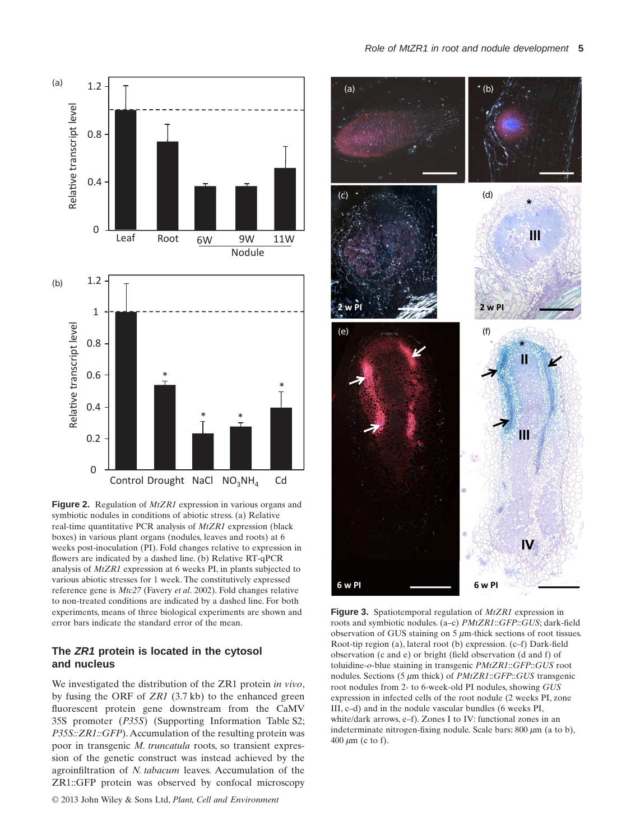

**Figure 2.** Regulation of *MtZR1* expression in various organs and symbiotic nodules in conditions of abiotic stress. (a) Relative real-time quantitative PCR analysis of *MtZR1* expression (black boxes) in various plant organs (nodules, leaves and roots) at 6 weeks post-inoculation (PI). Fold changes relative to expression in flowers are indicated by a dashed line. (b) Relative RT-qPCR analysis of *MtZR1* expression at 6 weeks PI, in plants subjected to various abiotic stresses for 1 week. The constitutively expressed reference gene is *Mtc27* (Favery *et al*. 2002). Fold changes relative to non-treated conditions are indicated by a dashed line. For both experiments, means of three biological experiments are shown and error bars indicate the standard error of the mean.

## **The** *ZR1* **protein is located in the cytosol and nucleus**

We investigated the distribution of the ZR1 protein *in vivo*, by fusing the ORF of *ZR1* (3.7 kb) to the enhanced green fluorescent protein gene downstream from the CaMV 35S promoter (*P35S*) (Supporting Information Table S2; *P35S::ZR1::GFP*). Accumulation of the resulting protein was poor in transgenic *M. truncatula* roots, so transient expression of the genetic construct was instead achieved by the agroinfiltration of *N. tabacum* leaves. Accumulation of the ZR1::GFP protein was observed by confocal microscopy



**Figure 3.** Spatiotemporal regulation of *MtZR1* expression in roots and symbiotic nodules. (a–c) *PMtZR1*::*GFP*::*GUS*; dark-field observation of GUS staining on  $5 \mu$ m-thick sections of root tissues. Root-tip region (a), lateral root (b) expression. (c–f) Dark-field observation (c and e) or bright (field observation (d and f) of toluidine-*o*-blue staining in transgenic *PMtZR1*::*GFP*::*GUS* root nodules. Sections (5  $\mu$ m thick) of *PMtZR1*::*GFP*::*GUS* transgenic root nodules from 2- to 6-week-old PI nodules, showing *GUS* expression in infected cells of the root nodule (2 weeks PI, zone III, c–d) and in the nodule vascular bundles (6 weeks PI, white/dark arrows, e–f). Zones I to IV: functional zones in an indeterminate nitrogen-fixing nodule. Scale bars:  $800 \mu m$  (a to b),  $400 \ \mu m$  (c to f).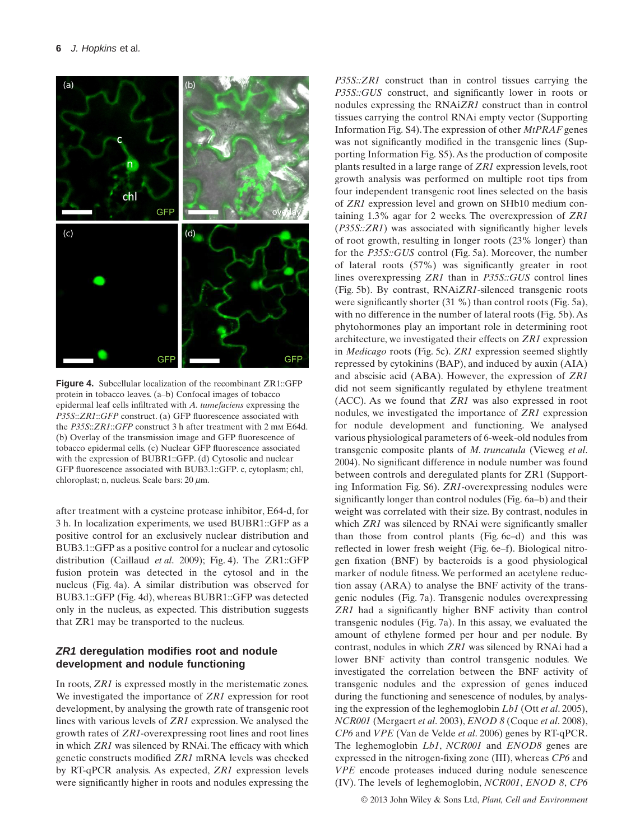

**Figure 4.** Subcellular localization of the recombinant ZR1::GFP protein in tobacco leaves. (a–b) Confocal images of tobacco epidermal leaf cells infiltrated with *A. tumefaciens* expressing the *P35S*::*ZR1*::*GFP* construct. (a) GFP fluorescence associated with the *P35S*::*ZR1*::*GFP* construct 3 h after treatment with 2 mm E64d. (b) Overlay of the transmission image and GFP fluorescence of tobacco epidermal cells. (c) Nuclear GFP fluorescence associated with the expression of BUBR1::GFP. (d) Cytosolic and nuclear GFP fluorescence associated with BUB3.1::GFP. c, cytoplasm; chl, ehloroplast; n, nucleus. Scale bars: 20  $\mu$ m.

after treatment with a cysteine protease inhibitor, E64-d, for 3 h. In localization experiments, we used BUBR1::GFP as a positive control for an exclusively nuclear distribution and BUB3.1::GFP as a positive control for a nuclear and cytosolic distribution (Caillaud *et al*. 2009); Fig. 4). The ZR1::GFP fusion protein was detected in the cytosol and in the nucleus (Fig. 4a). A similar distribution was observed for BUB3.1::GFP (Fig. 4d), whereas BUBR1::GFP was detected only in the nucleus, as expected. This distribution suggests that ZR1 may be transported to the nucleus.

# *ZR1* **deregulation modifies root and nodule development and nodule functioning**

In roots, *ZR1* is expressed mostly in the meristematic zones. We investigated the importance of *ZR1* expression for root development, by analysing the growth rate of transgenic root lines with various levels of *ZR1* expression. We analysed the growth rates of *ZR1*-overexpressing root lines and root lines in which *ZR1* was silenced by RNAi. The efficacy with which genetic constructs modified *ZR1* mRNA levels was checked by RT-qPCR analysis. As expected, *ZR1* expression levels were significantly higher in roots and nodules expressing the *P35S::ZR1* construct than in control tissues carrying the *P35S::GUS* construct, and significantly lower in roots or nodules expressing the RNAi*ZR1* construct than in control tissues carrying the control RNAi empty vector (Supporting Information Fig. S4).The expression of other *MtPRAF* genes was not significantly modified in the transgenic lines (Supporting Information Fig. S5).As the production of composite plants resulted in a large range of *ZR1* expression levels, root growth analysis was performed on multiple root tips from four independent transgenic root lines selected on the basis of *ZR1* expression level and grown on SHb10 medium containing 1.3% agar for 2 weeks. The overexpression of *ZR1* (*P35S::ZR1*) was associated with significantly higher levels of root growth, resulting in longer roots (23% longer) than for the *P35S::GUS* control (Fig. 5a). Moreover, the number of lateral roots (57%) was significantly greater in root lines overexpressing *ZR1* than in *P35S::GUS* control lines (Fig. 5b). By contrast, RNAi*ZR1-*silenced transgenic roots were significantly shorter (31 %) than control roots (Fig. 5a), with no difference in the number of lateral roots (Fig. 5b).As phytohormones play an important role in determining root architecture, we investigated their effects on *ZR1* expression in *Medicago* roots (Fig. 5c). *ZR1* expression seemed slightly repressed by cytokinins (BAP), and induced by auxin (AIA) and abscisic acid (ABA). However, the expression of *ZR1* did not seem significantly regulated by ethylene treatment (ACC). As we found that *ZR1* was also expressed in root nodules, we investigated the importance of *ZR1* expression for nodule development and functioning. We analysed various physiological parameters of 6-week-old nodules from transgenic composite plants of *M. truncatula* (Vieweg *et al*. 2004). No significant difference in nodule number was found between controls and deregulated plants for ZR1 (Supporting Information Fig. S6). *ZR1*-overexpressing nodules were significantly longer than control nodules (Fig. 6a–b) and their weight was correlated with their size. By contrast, nodules in which *ZR1* was silenced by RNAi were significantly smaller than those from control plants (Fig. 6c–d) and this was reflected in lower fresh weight (Fig. 6e–f). Biological nitrogen fixation (BNF) by bacteroids is a good physiological marker of nodule fitness. We performed an acetylene reduction assay (ARA) to analyse the BNF activity of the transgenic nodules (Fig. 7a). Transgenic nodules overexpressing *ZR1* had a significantly higher BNF activity than control transgenic nodules (Fig. 7a). In this assay, we evaluated the amount of ethylene formed per hour and per nodule. By contrast, nodules in which *ZR1* was silenced by RNAi had a lower BNF activity than control transgenic nodules. We investigated the correlation between the BNF activity of transgenic nodules and the expression of genes induced during the functioning and senescence of nodules, by analysing the expression of the leghemoglobin *Lb1* (Ott *et al*. 2005), *NCR001* (Mergaert *et al*. 2003), *ENOD 8* (Coque *et al*. 2008), *CP6* and *VPE* (Van de Velde *et al*. 2006) genes by RT-qPCR. The leghemoglobin *Lb1*, *NCR001* and *ENOD8* genes are expressed in the nitrogen-fixing zone (III), whereas *CP6* and *VPE* encode proteases induced during nodule senescence (IV). The levels of leghemoglobin, *NCR001*, *ENOD 8*, *CP6*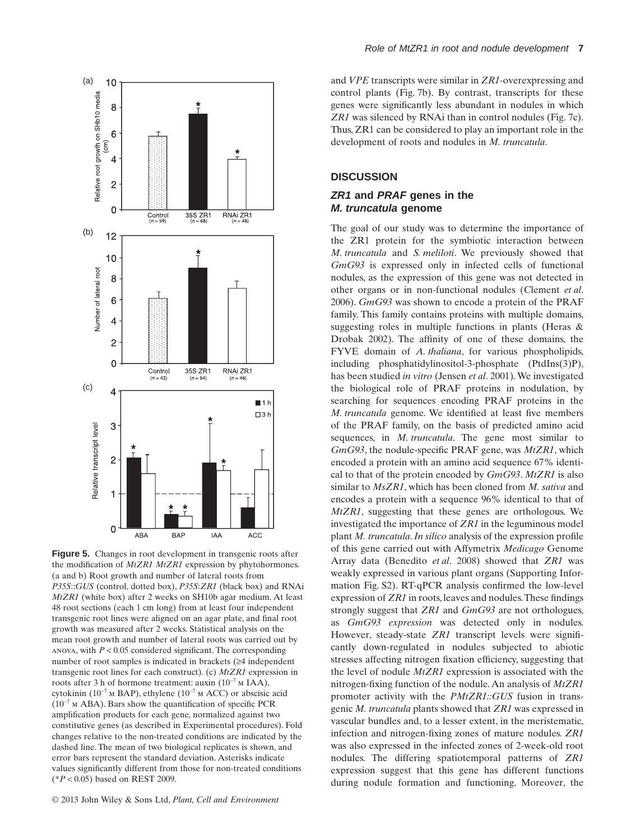

**Figure 5.** Changes in root development in transgenic roots after the modification of *MtZR1 MtZR1* expression by phytohormones. (a and b) Root growth and number of lateral roots from *P35S*::*GUS* (control, dotted box), *P35S*:*ZR1* (black box) and RNAi *MtZR1* (white box) after 2 weeks on SH10b agar medium. At least 48 root sections (each 1 cm long) from at least four independent transgenic root lines were aligned on an agar plate, and final root growth was measured after 2 weeks. Statistical analysis on the mean root growth and number of lateral roots was carried out by anova, with  $P < 0.05$  considered significant. The corresponding number of root samples is indicated in brackets (≥4 independent transgenic root lines for each construct). (c) *MtZR1* expression in roots after 3 h of hormone treatment: auxin (10−7 m IAA), cytokinin (10−7 m BAP), ethylene (10−7 m ACC) or abscisic acid (10−7 m ABA). Bars show the quantification of specific PCR amplification products for each gene, normalized against two constitutive genes (as described in Experimental procedures). Fold changes relative to the non-treated conditions are indicated by the dashed line. The mean of two biological replicates is shown, and error bars represent the standard deviation. Asterisks indicate values significantly different from those for non-treated conditions (\**P* < 0.05) based on REST 2009.

and *VPE* transcripts were similar in *ZR1*-overexpressing and control plants (Fig. 7b). By contrast, transcripts for these genes were significantly less abundant in nodules in which *ZR1* was silenced by RNAi than in control nodules (Fig. 7c). Thus, ZR1 can be considered to play an important role in the development of roots and nodules in *M. truncatula*.

# **DISCUSSION**

## *ZR1* **and** *PRAF* **genes in the** *M. truncatula* **genome**

The goal of our study was to determine the importance of the ZR1 protein for the symbiotic interaction between *M. truncatula* and *S. meliloti*. We previously showed that *GmG93* is expressed only in infected cells of functional nodules, as the expression of this gene was not detected in other organs or in non-functional nodules (Clement *et al*. 2006). *GmG93* was shown to encode a protein of the PRAF family. This family contains proteins with multiple domains, suggesting roles in multiple functions in plants (Heras & Drobak 2002). The affinity of one of these domains, the FYVE domain of *A. thaliana*, for various phospholipids, including phosphatidylinositol-3-phosphate (PtdIns(3)P), has been studied *in vitro* (Jensen *et al*. 2001).We investigated the biological role of PRAF proteins in nodulation, by searching for sequences encoding PRAF proteins in the *M. truncatula* genome. We identified at least five members of the PRAF family, on the basis of predicted amino acid sequences, in *M. truncatula*. The gene most similar to *GmG93*, the nodule-specific PRAF gene, was *MtZR1*, which encoded a protein with an amino acid sequence 67% identical to that of the protein encoded by *GmG93*. *MtZR1* is also similar to *MsZR1*, which has been cloned from *M. sativa* and encodes a protein with a sequence 96% identical to that of *MtZR1*, suggesting that these genes are orthologous. We investigated the importance of *ZR1* in the leguminous model plant *M. truncatula*.*In silico* analysis of the expression profile of this gene carried out with Affymetrix *Medicago* Genome Array data (Benedito *et al*. 2008) showed that *ZR1* was weakly expressed in various plant organs (Supporting Information Fig. S2). RT-qPCR analysis confirmed the low-level expression of *ZR1* in roots, leaves and nodules.These findings strongly suggest that *ZR1* and *GmG93* are not orthologues, as *GmG93 expression* was detected only in nodules. However, steady-state *ZR1* transcript levels were significantly down-regulated in nodules subjected to abiotic stresses affecting nitrogen fixation efficiency, suggesting that the level of nodule *MtZR1* expression is associated with the nitrogen-fixing function of the nodule.An analysis of *MtZR1* promoter activity with the *PMtZR1::GUS* fusion in transgenic *M. truncatula* plants showed that *ZR1* was expressed in vascular bundles and, to a lesser extent, in the meristematic, infection and nitrogen-fixing zones of mature nodules. *ZR1* was also expressed in the infected zones of 2-week-old root nodules. The differing spatiotemporal patterns of *ZR1* expression suggest that this gene has different functions during nodule formation and functioning. Moreover, the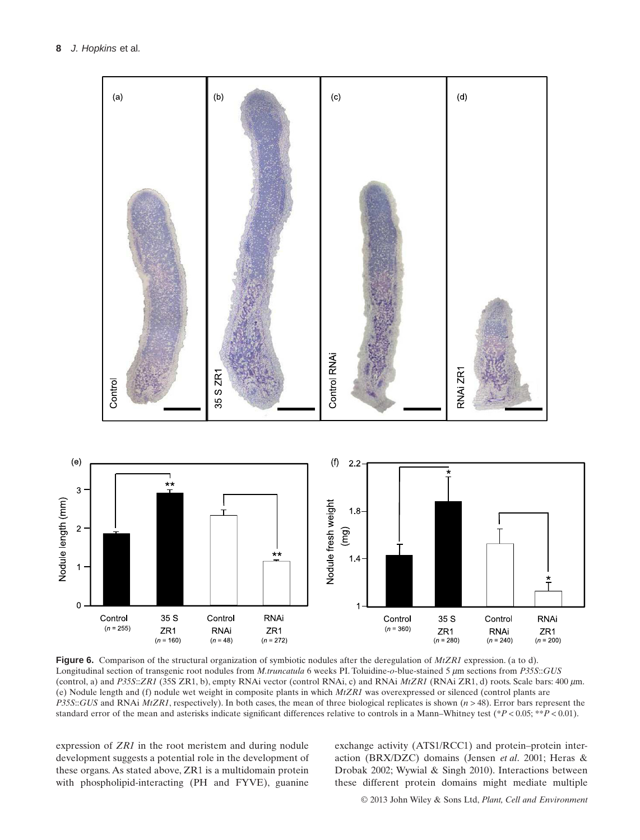

**Figure 6.** Comparison of the structural organization of symbiotic nodules after the deregulation of *MtZR1* expression. (a to d). Longitudinal section of transgenic root nodules from *M.truncatula* 6 weeks PI. Toluidine-*o*-blue-stained 5  $\mu$ m sections from *P35S*::*GUS* (control, a) and P35S::*ZR1* (35S ZR1, b), empty RNAi vector (control RNAi, c) and RNAi *MtZR1* (RNAi ZR1, d) roots. Scale bars: 400  $\mu$ m. (e) Nodule length and (f) nodule wet weight in composite plants in which *MtZR1* was overexpressed or silenced (control plants are *P35S*::*GUS* and RNAi *MtZR1*, respectively). In both cases, the mean of three biological replicates is shown (*n* > 48). Error bars represent the standard error of the mean and asterisks indicate significant differences relative to controls in a Mann–Whitney test (\**P* < 0.05; \*\**P* < 0.01).

expression of *ZR1* in the root meristem and during nodule development suggests a potential role in the development of these organs. As stated above, ZR1 is a multidomain protein with phospholipid-interacting (PH and FYVE), guanine exchange activity (ATS1/RCC1) and protein–protein interaction (BRX/DZC) domains (Jensen *et al*. 2001; Heras & Drobak 2002; Wywial & Singh 2010). Interactions between these different protein domains might mediate multiple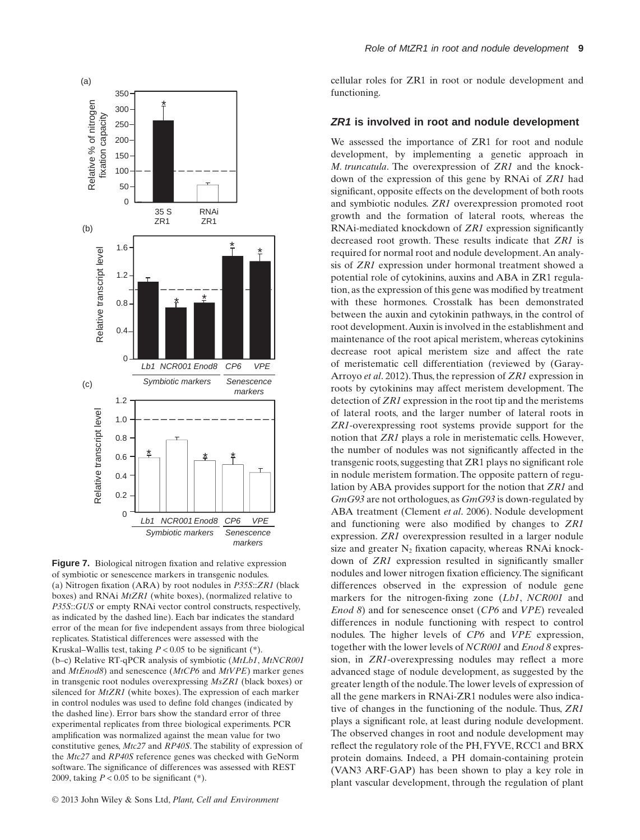

**Figure 7.** Biological nitrogen fixation and relative expression of symbiotic or senescence markers in transgenic nodules. (a) Nitrogen fixation (ARA) by root nodules in *P35S*::*ZR1* (black boxes) and RNAi *MtZR1* (white boxes), (normalized relative to *P35S*::*GUS* or empty RNAi vector control constructs, respectively, as indicated by the dashed line). Each bar indicates the standard error of the mean for five independent assays from three biological replicates. Statistical differences were assessed with the Kruskal–Wallis test, taking  $P < 0.05$  to be significant  $(*)$ . (b–c) Relative RT-qPCR analysis of symbiotic (*MtLb1*, *MtNCR001* and *MtEnod8*) and senescence (*MtCP6* and *MtVPE*) marker genes in transgenic root nodules overexpressing *MsZR1* (black boxes) or silenced for *MtZR1* (white boxes). The expression of each marker in control nodules was used to define fold changes (indicated by the dashed line). Error bars show the standard error of three experimental replicates from three biological experiments. PCR amplification was normalized against the mean value for two constitutive genes, *Mtc27* and *RP40S*. The stability of expression of the *Mtc27* and *RP40S* reference genes was checked with GeNorm software. The significance of differences was assessed with REST 2009, taking  $P < 0.05$  to be significant (\*).

cellular roles for ZR1 in root or nodule development and functioning.

### *ZR1* **is involved in root and nodule development**

We assessed the importance of ZR1 for root and nodule development, by implementing a genetic approach in *M. truncatula*. The overexpression of *ZR1* and the knockdown of the expression of this gene by RNAi of *ZR1* had significant, opposite effects on the development of both roots and symbiotic nodules. *ZR1* overexpression promoted root growth and the formation of lateral roots, whereas the RNAi-mediated knockdown of *ZR1* expression significantly decreased root growth. These results indicate that *ZR1* is required for normal root and nodule development.An analysis of *ZR1* expression under hormonal treatment showed a potential role of cytokinins, auxins and ABA in ZR1 regulation, as the expression of this gene was modified by treatment with these hormones. Crosstalk has been demonstrated between the auxin and cytokinin pathways, in the control of root development.Auxin is involved in the establishment and maintenance of the root apical meristem, whereas cytokinins decrease root apical meristem size and affect the rate of meristematic cell differentiation (reviewed by (Garay-Arroyo *et al*. 2012).Thus, the repression of *ZR1* expression in roots by cytokinins may affect meristem development. The detection of *ZR1* expression in the root tip and the meristems of lateral roots, and the larger number of lateral roots in *ZR1*-overexpressing root systems provide support for the notion that *ZR1* plays a role in meristematic cells. However, the number of nodules was not significantly affected in the transgenic roots, suggesting that ZR1 plays no significant role in nodule meristem formation. The opposite pattern of regulation by ABA provides support for the notion that *ZR1* and *GmG93* are not orthologues, as *GmG93* is down-regulated by ABA treatment (Clement *et al*. 2006). Nodule development and functioning were also modified by changes to *ZR1* expression. *ZR1* overexpression resulted in a larger nodule size and greater  $N_2$  fixation capacity, whereas RNAi knockdown of *ZR1* expression resulted in significantly smaller nodules and lower nitrogen fixation efficiency.The significant differences observed in the expression of nodule gene markers for the nitrogen-fixing zone (*Lb1*, *NCR001* and *Enod 8*) and for senescence onset (*CP6* and *VPE*) revealed differences in nodule functioning with respect to control nodules. The higher levels of *CP6* and *VPE* expression, together with the lower levels of *NCR001* and *Enod 8* expression, in *ZR1*-overexpressing nodules may reflect a more advanced stage of nodule development, as suggested by the greater length of the nodule.The lower levels of expression of all the gene markers in RNAi-ZR1 nodules were also indicative of changes in the functioning of the nodule. Thus, *ZR1* plays a significant role, at least during nodule development. The observed changes in root and nodule development may reflect the regulatory role of the PH, FYVE, RCC1 and BRX protein domains. Indeed, a PH domain-containing protein (VAN3 ARF-GAP) has been shown to play a key role in plant vascular development, through the regulation of plant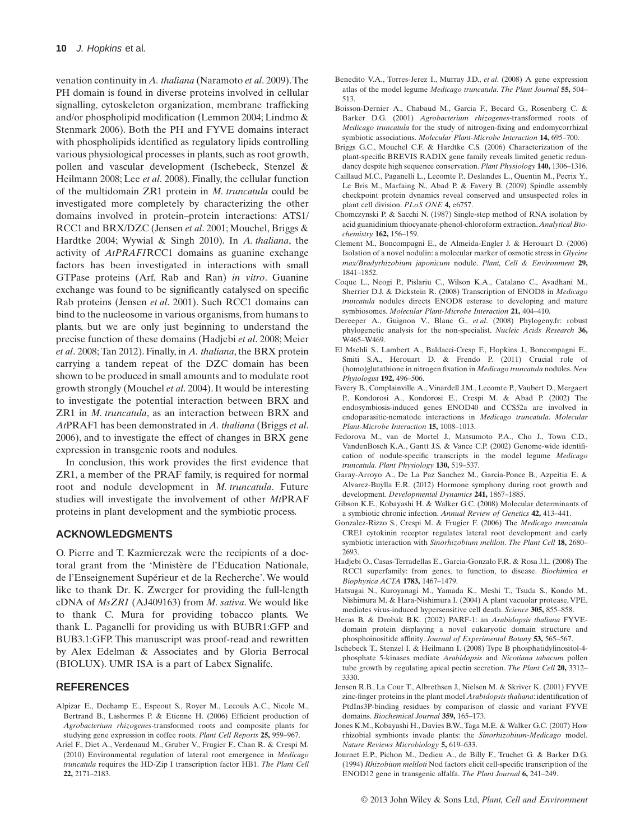venation continuity in *A. thaliana* (Naramoto *et al*. 2009).The PH domain is found in diverse proteins involved in cellular signalling, cytoskeleton organization, membrane trafficking and/or phospholipid modification (Lemmon 2004; Lindmo & Stenmark 2006). Both the PH and FYVE domains interact with phospholipids identified as regulatory lipids controlling various physiological processes in plants, such as root growth, pollen and vascular development (Ischebeck, Stenzel & Heilmann 2008; Lee *et al*. 2008). Finally, the cellular function of the multidomain ZR1 protein in *M. truncatula* could be investigated more completely by characterizing the other domains involved in protein–protein interactions: ATS1/ RCC1 and BRX/DZC (Jensen *et al*. 2001; Mouchel, Briggs & Hardtke 2004; Wywial & Singh 2010). In *A. thaliana*, the activity of *AtPRAF1*RCC1 domains as guanine exchange factors has been investigated in interactions with small GTPase proteins (Arf, Rab and Ran) *in vitro*. Guanine exchange was found to be significantly catalysed on specific Rab proteins (Jensen *et al*. 2001). Such RCC1 domains can bind to the nucleosome in various organisms, from humans to plants, but we are only just beginning to understand the precise function of these domains (Hadjebi *et al*. 2008; Meier *et al*. 2008; Tan 2012). Finally, in *A. thaliana*, the BRX protein carrying a tandem repeat of the DZC domain has been shown to be produced in small amounts and to modulate root growth strongly (Mouchel *et al*. 2004). It would be interesting to investigate the potential interaction between BRX and ZR1 in *M. truncatula*, as an interaction between BRX and *At*PRAF1 has been demonstrated in *A. thaliana* (Briggs *et al*. 2006), and to investigate the effect of changes in BRX gene expression in transgenic roots and nodules.

In conclusion, this work provides the first evidence that ZR1, a member of the PRAF family, is required for normal root and nodule development in *M. truncatula*. Future studies will investigate the involvement of other *Mt*PRAF proteins in plant development and the symbiotic process.

### **ACKNOWLEDGMENTS**

O. Pierre and T. Kazmierczak were the recipients of a doctoral grant from the 'Ministère de l'Education Nationale, de l'Enseignement Supérieur et de la Recherche'. We would like to thank Dr. K. Zwerger for providing the full-length cDNA of *MsZR1* (AJ409163) from *M. sativa*. We would like to thank C. Mura for providing tobacco plants. We thank L. Paganelli for providing us with BUBR1:GFP and BUB3.1:GFP. This manuscript was proof-read and rewritten by Alex Edelman & Associates and by Gloria Berrocal (BIOLUX). UMR ISA is a part of Labex Signalife.

#### **REFERENCES**

- Alpizar E., Dechamp E., Espeout S., Royer M., Lecouls A.C., Nicole M., Bertrand B., Lashermes P. & Etienne H. (2006) Efficient production of *Agrobacterium rhizogenes*-transformed roots and composite plants for studying gene expression in coffee roots. *Plant Cell Reports* **25,** 959–967.
- Ariel F., Diet A., Verdenaud M., Gruber V., Frugier F., Chan R. & Crespi M. (2010) Environmental regulation of lateral root emergence in *Medicago truncatula* requires the HD-Zip I transcription factor HB1. *The Plant Cell* **22,** 2171–2183.
- Benedito V.A., Torres-Jerez I., Murray J.D., *et al*. (2008) A gene expression atlas of the model legume *Medicago truncatula*. *The Plant Journal* **55,** 504– 513.
- Boisson-Dernier A., Chabaud M., Garcia F., Becard G., Rosenberg C. & Barker D.G. (2001) *Agrobacterium rhizogenes*-transformed roots of *Medicago truncatula* for the study of nitrogen-fixing and endomycorrhizal symbiotic associations. *Molecular Plant-Microbe Interaction* **14,** 695–700.
- Briggs G.C., Mouchel C.F. & Hardtke C.S. (2006) Characterization of the plant-specific BREVIS RADIX gene family reveals limited genetic redundancy despite high sequence conservation. *Plant Physiology* **140,** 1306–1316.
- Caillaud M.C., Paganelli L., Lecomte P., Deslandes L., Quentin M., Pecrix Y., Le Bris M., Marfaing N., Abad P. & Favery B. (2009) Spindle assembly checkpoint protein dynamics reveal conserved and unsuspected roles in plant cell division. *PLoS ONE* **4,** e6757.
- Chomczynski P. & Sacchi N. (1987) Single-step method of RNA isolation by acid guanidinium thiocyanate-phenol-chloroform extraction.*Analytical Biochemistry* **162,** 156–159.
- Clement M., Boncompagni E., de Almeida-Engler J. & Herouart D. (2006) Isolation of a novel nodulin: a molecular marker of osmotic stress in *Glycine max/Bradyrhizobium japonicum* nodule. *Plant, Cell & Environment* **29,** 1841–1852.
- Coque L., Neogi P., Pislariu C., Wilson K.A., Catalano C., Avadhani M., Sherrier D.J. & Dickstein R. (2008) Transcription of ENOD8 in *Medicago truncatula* nodules directs ENOD8 esterase to developing and mature symbiosomes. *Molecular Plant-Microbe Interaction* **21,** 404–410.
- Dereeper A., Guignon V., Blanc G., *et al*. (2008) Phylogeny.fr: robust phylogenetic analysis for the non-specialist. *Nucleic Acids Research* **36,** W465–W469.
- El Msehli S., Lambert A., Baldacci-Cresp F., Hopkins J., Boncompagni E., Smiti S.A., Herouart D. & Frendo P. (2011) Crucial role of (homo)glutathione in nitrogen fixation in *Medicago truncatula* nodules. *New Phytologist* **192,** 496–506.
- Favery B., Complainville A., Vinardell J.M., Lecomte P., Vaubert D., Mergaert P., Kondorosi A., Kondorosi E., Crespi M. & Abad P. (2002) The endosymbiosis-induced genes ENOD40 and CCS52a are involved in endoparasitic-nematode interactions in *Medicago truncatula*. *Molecular Plant-Microbe Interaction* **15,** 1008–1013.
- Fedorova M., van de Mortel J., Matsumoto P.A., Cho J., Town C.D., VandenBosch K.A., Gantt J.S. & Vance C.P. (2002) Genome-wide identification of nodule-specific transcripts in the model legume *Medicago truncatula*. *Plant Physiology* **130,** 519–537.
- Garay-Arroyo A., De La Paz Sanchez M., Garcia-Ponce B., Azpeitia E. & Alvarez-Buylla E.R. (2012) Hormone symphony during root growth and development. *Developmental Dynamics* **241,** 1867–1885.
- Gibson K.E., Kobayashi H. & Walker G.C. (2008) Molecular determinants of a symbiotic chronic infection. *Annual Review of Genetics* **42,** 413–441.
- Gonzalez-Rizzo S., Crespi M. & Frugier F. (2006) The *Medicago truncatula* CRE1 cytokinin receptor regulates lateral root development and early symbiotic interaction with *Sinorhizobium meliloti*. *The Plant Cell* **18,** 2680– 2693.
- Hadjebi O., Casas-Terradellas E., Garcia-Gonzalo F.R. & Rosa J.L. (2008) The RCC1 superfamily: from genes, to function, to disease. *Biochimica et Biophysica ACTA* **1783,** 1467–1479.
- Hatsugai N., Kuroyanagi M., Yamada K., Meshi T., Tsuda S., Kondo M., Nishimura M. & Hara-Nishimura I. (2004) A plant vacuolar protease, VPE, mediates virus-induced hypersensitive cell death. *Science* **305,** 855–858.
- Heras B. & Drobak B.K. (2002) PARF-1: an *Arabidopsis thaliana* FYVEdomain protein displaying a novel eukaryotic domain structure and phosphoinositide affinity. *Journal of Experimental Botany* **53,** 565–567.
- Ischebeck T., Stenzel I. & Heilmann I. (2008) Type B phosphatidylinositol-4 phosphate 5-kinases mediate *Arabidopsis* and *Nicotiana tabacum* pollen tube growth by regulating apical pectin secretion. *The Plant Cell* **20,** 3312– 3330.
- Jensen R.B., La Cour T., Albrethsen J., Nielsen M. & Skriver K. (2001) FYVE zinc-finger proteins in the plant model *Arabidopsis thaliana*: identification of PtdIns3P-binding residues by comparison of classic and variant FYVE domains. *Biochemical Journal* **359,** 165–173.
- Jones K.M., Kobayashi H., Davies B.W., Taga M.E. & Walker G.C. (2007) How rhizobial symbionts invade plants: the *Sinorhizobium*-*Medicago* model. *Nature Reviews Microbiology* **5,** 619–633.
- Journet E.P., Pichon M., Dedieu A., de Billy F., Truchet G. & Barker D.G. (1994) *Rhizobium meliloti* Nod factors elicit cell-specific transcription of the ENOD12 gene in transgenic alfalfa. *The Plant Journal* **6,** 241–249.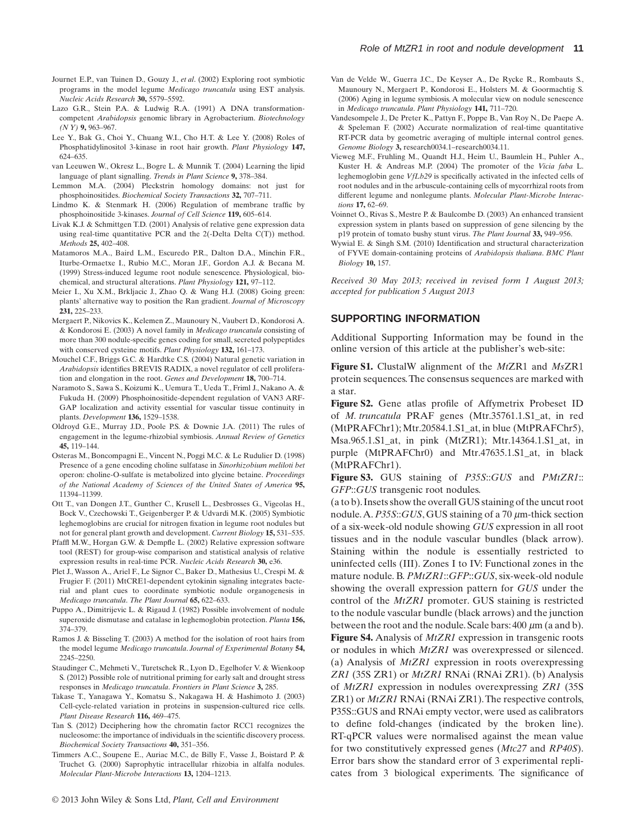- Journet E.P., van Tuinen D., Gouzy J., *et al*. (2002) Exploring root symbiotic programs in the model legume *Medicago truncatula* using EST analysis. *Nucleic Acids Research* **30,** 5579–5592.
- Lazo G.R., Stein P.A. & Ludwig R.A. (1991) A DNA transformationcompetent *Arabidopsis* genomic library in Agrobacterium. *Biotechnology (N Y)* **9,** 963–967.
- Lee Y., Bak G., Choi Y., Chuang W.I., Cho H.T. & Lee Y. (2008) Roles of Phosphatidylinositol 3-kinase in root hair growth. *Plant Physiology* **147,** 624–635.
- van Leeuwen W., Okresz L., Bogre L. & Munnik T. (2004) Learning the lipid language of plant signalling. *Trends in Plant Science* **9,** 378–384.
- Lemmon M.A. (2004) Pleckstrin homology domains: not just for phosphoinositides. *Biochemical Society Transactions* **32,** 707–711.
- Lindmo K. & Stenmark H. (2006) Regulation of membrane traffic by phosphoinositide 3-kinases. *Journal of Cell Science* **119,** 605–614.
- Livak K.J. & Schmittgen T.D. (2001) Analysis of relative gene expression data using real-time quantitative PCR and the 2(-Delta Delta C(T)) method. *Methods* **25,** 402–408.
- Matamoros M.A., Baird L.M., Escuredo P.R., Dalton D.A., Minchin F.R., Iturbe-Ormaetxe I., Rubio M.C., Moran J.F., Gordon A.J. & Becana M. (1999) Stress-induced legume root nodule senescence. Physiological, biochemical, and structural alterations. *Plant Physiology* **121,** 97–112.
- Meier I., Xu X.M., Brkljacic J., Zhao Q. & Wang H.J. (2008) Going green: plants' alternative way to position the Ran gradient. *Journal of Microscopy* **231,** 225–233.
- Mergaert P., Nikovics K., Kelemen Z., Maunoury N., Vaubert D., Kondorosi A. & Kondorosi E. (2003) A novel family in *Medicago truncatula* consisting of more than 300 nodule-specific genes coding for small, secreted polypeptides with conserved cysteine motifs. *Plant Physiology* **132,** 161–173.
- Mouchel C.F., Briggs G.C. & Hardtke C.S. (2004) Natural genetic variation in *Arabidopsis* identifies BREVIS RADIX, a novel regulator of cell proliferation and elongation in the root. *Genes and Development* **18,** 700–714.
- Naramoto S., Sawa S., Koizumi K., Uemura T., Ueda T., Friml J., Nakano A. & Fukuda H. (2009) Phosphoinositide-dependent regulation of VAN3 ARF-GAP localization and activity essential for vascular tissue continuity in plants. *Development* **136,** 1529–1538.
- Oldroyd G.E., Murray J.D., Poole P.S. & Downie J.A. (2011) The rules of engagement in the legume-rhizobial symbiosis. *Annual Review of Genetics* **45,** 119–144.
- Osteras M., Boncompagni E., Vincent N., Poggi M.C. & Le Rudulier D. (1998) Presence of a gene encoding choline sulfatase in *Sinorhizobium meliloti bet* operon: choline-O-sulfate is metabolized into glycine betaine. *Proceedings of the National Academy of Sciences of the United States of America* **95,** 11394–11399.
- Ott T., van Dongen J.T., Gunther C., Krusell L., Desbrosses G., Vigeolas H., Bock V., Czechowski T., Geigenberger P. & Udvardi M.K. (2005) Symbiotic leghemoglobins are crucial for nitrogen fixation in legume root nodules but not for general plant growth and development. *Current Biology* **15,** 531–535.
- Pfaffl M.W., Horgan G.W. & Dempfle L. (2002) Relative expression software tool (REST) for group-wise comparison and statistical analysis of relative expression results in real-time PCR. *Nucleic Acids Research* **30,** e36.
- Plet J., Wasson A., Ariel F., Le Signor C., Baker D., Mathesius U., Crespi M. & Frugier F. (2011) MtCRE1-dependent cytokinin signaling integrates bacterial and plant cues to coordinate symbiotic nodule organogenesis in *Medicago truncatula*. *The Plant Journal* **65,** 622–633.
- Puppo A., Dimitrijevic L. & Rigaud J. (1982) Possible involvement of nodule superoxide dismutase and catalase in leghemoglobin protection. *Planta* **156,** 374–379.
- Ramos J. & Bisseling T. (2003) A method for the isolation of root hairs from the model legume *Medicago truncatula*. *Journal of Experimental Botany* **54,** 2245–2250.
- Staudinger C., Mehmeti V., Turetschek R., Lyon D., Egelhofer V. & Wienkoop S. (2012) Possible role of nutritional priming for early salt and drought stress responses in *Medicago truncatula*. *Frontiers in Plant Science* **3,** 285.
- Takase T., Yanagawa Y., Komatsu S., Nakagawa H. & Hashimoto J. (2003) Cell-cycle-related variation in proteins in suspension-cultured rice cells. *Plant Disease Research* **116,** 469–475.
- Tan S. (2012) Deciphering how the chromatin factor RCC1 recognizes the nucleosome: the importance of individuals in the scientific discovery process. *Biochemical Society Transactions* **40,** 351–356.
- Timmers A.C., Soupene E., Auriac M.C., de Billy F., Vasse J., Boistard P. & Truchet G. (2000) Saprophytic intracellular rhizobia in alfalfa nodules. *Molecular Plant-Microbe Interactions* **13,** 1204–1213.
- Van de Velde W., Guerra J.C., De Keyser A., De Rycke R., Rombauts S., Maunoury N., Mergaert P., Kondorosi E., Holsters M. & Goormachtig S. (2006) Aging in legume symbiosis. A molecular view on nodule senescence in *Medicago truncatula*. *Plant Physiology* **141,** 711–720.
- Vandesompele J., De Preter K., Pattyn F., Poppe B., Van Roy N., De Paepe A. & Speleman F. (2002) Accurate normalization of real-time quantitative RT-PCR data by geometric averaging of multiple internal control genes. *Genome Biology* **3,** research0034.1–research0034.11.
- Vieweg M.F., Fruhling M., Quandt H.J., Heim U., Baumlein H., Puhler A., Kuster H. & Andreas M.P. (2004) The promoter of the *Vicia faba* L. leghemoglobin gene *VfLb29* is specifically activated in the infected cells of root nodules and in the arbuscule-containing cells of mycorrhizal roots from different legume and nonlegume plants. *Molecular Plant-Microbe Interactions* **17,** 62–69.
- Voinnet O., Rivas S., Mestre P. & Baulcombe D. (2003) An enhanced transient expression system in plants based on suppression of gene silencing by the p19 protein of tomato bushy stunt virus. *The Plant Journal* **33,** 949–956.
- Wywial E. & Singh S.M. (2010) Identification and structural characterization of FYVE domain-containing proteins of *Arabidopsis thaliana*. *BMC Plant Biology* **10,** 157.

*Received 30 May 2013; received in revised form 1 August 2013; accepted for publication 5 August 2013*

#### **SUPPORTING INFORMATION**

Additional Supporting Information may be found in the online version of this article at the publisher's web-site:

**Figure S1.** ClustalW alignment of the *Mt*ZR1 and *Ms*ZR1 protein sequences.The consensus sequences are marked with a star.

**Figure S2.** Gene atlas profile of Affymetrix Probeset ID of *M. truncatula* PRAF genes (Mtr.35761.1.S1\_at, in red (MtPRAFChr1); Mtr.20584.1.S1\_at, in blue (MtPRAFChr5), Msa.965.1.S1\_at, in pink (MtZR1); Mtr.14364.1.S1\_at, in purple (MtPRAFChr0) and Mtr.47635.1.S1\_at, in black (MtPRAFChr1).

**Figure S3.** GUS staining of *P35S*::*GUS* and *PMtZR1*:: *GFP*::*GUS* transgenic root nodules.

(a to b).Insets show the overall GUS staining of the uncut root nodule. A. P35S::GUS, GUS staining of a 70 μm-thick section of a six-week-old nodule showing *GUS* expression in all root tissues and in the nodule vascular bundles (black arrow). Staining within the nodule is essentially restricted to uninfected cells (III). Zones I to IV: Functional zones in the mature nodule. B. *PMtZR1*::*GFP*::*GUS*, six-week-old nodule showing the overall expression pattern for *GUS* under the control of the *MtZR1* promoter. GUS staining is restricted to the nodule vascular bundle (black arrows) and the junction between the root and the nodule. Scale bars: 400  $\mu$ m (a and b). **Figure S4.** Analysis of *MtZR1* expression in transgenic roots or nodules in which *MtZR1* was overexpressed or silenced. (a) Analysis of *MtZR1* expression in roots overexpressing *ZR1* (35S ZR1) or *MtZR1* RNAi (RNAi ZR1). (b) Analysis of *MtZR1* expression in nodules overexpressing *ZR1* (35S ZR1) or *MtZR1* RNAi (RNAi ZR1).The respective controls, P35S::GUS and RNAi empty vector, were used as calibrators to define fold-changes (indicated by the broken line). RT-qPCR values were normalised against the mean value for two constitutively expressed genes (*Mtc27* and *RP40S*). Error bars show the standard error of 3 experimental replicates from 3 biological experiments. The significance of